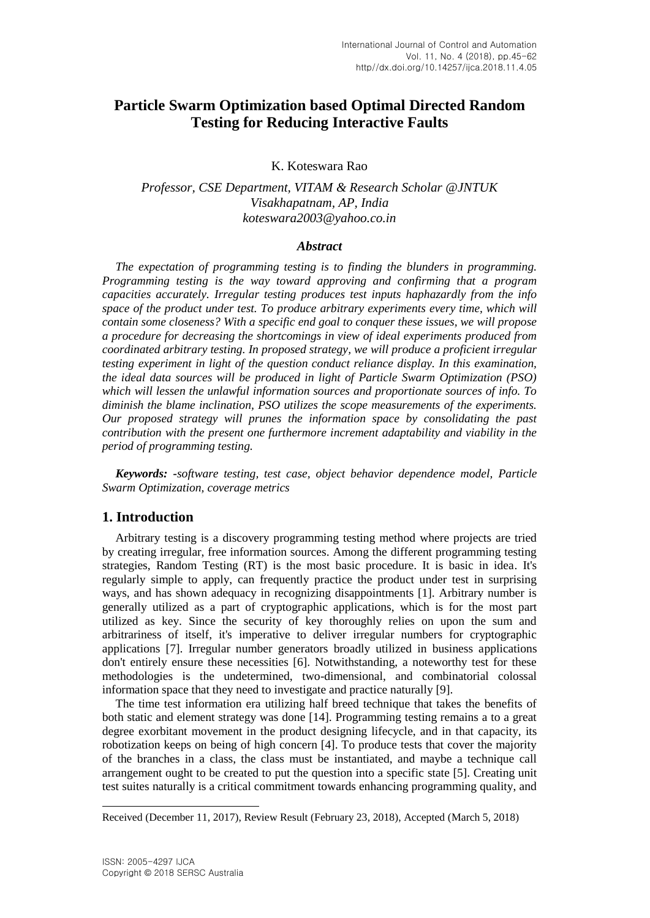# **Particle Swarm Optimization based Optimal Directed Random Testing for Reducing Interactive Faults**

K. Koteswara Rao

*Professor, CSE Department, VITAM & Research Scholar @JNTUK Visakhapatnam, AP, India koteswara2003@yahoo.co.in*

### *Abstract*

*The expectation of programming testing is to finding the blunders in programming. Programming testing is the way toward approving and confirming that a program capacities accurately. Irregular testing produces test inputs haphazardly from the info space of the product under test. To produce arbitrary experiments every time, which will contain some closeness? With a specific end goal to conquer these issues, we will propose a procedure for decreasing the shortcomings in view of ideal experiments produced from coordinated arbitrary testing. In proposed strategy, we will produce a proficient irregular testing experiment in light of the question conduct reliance display. In this examination, the ideal data sources will be produced in light of Particle Swarm Optimization (PSO) which will lessen the unlawful information sources and proportionate sources of info. To diminish the blame inclination, PSO utilizes the scope measurements of the experiments. Our proposed strategy will prunes the information space by consolidating the past contribution with the present one furthermore increment adaptability and viability in the period of programming testing.*

*Keywords: -software testing, test case, object behavior dependence model, Particle Swarm Optimization, coverage metrics*

### **1. Introduction**

Arbitrary testing is a discovery programming testing method where projects are tried by creating irregular, free information sources. Among the different programming testing strategies, Random Testing (RT) is the most basic procedure. It is basic in idea. It's regularly simple to apply, can frequently practice the product under test in surprising ways, and has shown adequacy in recognizing disappointments [1]. Arbitrary number is generally utilized as a part of cryptographic applications, which is for the most part utilized as key. Since the security of key thoroughly relies on upon the sum and arbitrariness of itself, it's imperative to deliver irregular numbers for cryptographic applications [7]. Irregular number generators broadly utilized in business applications don't entirely ensure these necessities [6]. Notwithstanding, a noteworthy test for these methodologies is the undetermined, two-dimensional, and combinatorial colossal information space that they need to investigate and practice naturally [9].

The time test information era utilizing half breed technique that takes the benefits of both static and element strategy was done [14]. Programming testing remains a to a great degree exorbitant movement in the product designing lifecycle, and in that capacity, its robotization keeps on being of high concern [4]. To produce tests that cover the majority of the branches in a class, the class must be instantiated, and maybe a technique call arrangement ought to be created to put the question into a specific state [5]. Creating unit test suites naturally is a critical commitment towards enhancing programming quality, and

l

Received (December 11, 2017), Review Result (February 23, 2018), Accepted (March 5, 2018)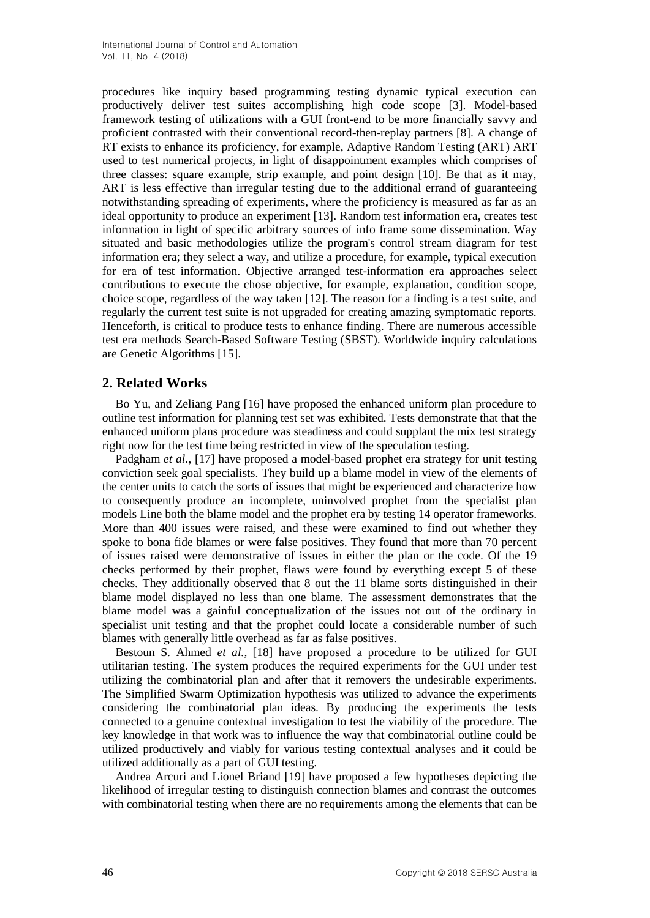procedures like inquiry based programming testing dynamic typical execution can productively deliver test suites accomplishing high code scope [3]. Model-based framework testing of utilizations with a GUI front-end to be more financially savvy and proficient contrasted with their conventional record-then-replay partners [8]. A change of RT exists to enhance its proficiency, for example, Adaptive Random Testing (ART) ART used to test numerical projects, in light of disappointment examples which comprises of three classes: square example, strip example, and point design [10]. Be that as it may, ART is less effective than irregular testing due to the additional errand of guaranteeing notwithstanding spreading of experiments, where the proficiency is measured as far as an ideal opportunity to produce an experiment [13]. Random test information era, creates test information in light of specific arbitrary sources of info frame some dissemination. Way situated and basic methodologies utilize the program's control stream diagram for test information era; they select a way, and utilize a procedure, for example, typical execution for era of test information. Objective arranged test-information era approaches select contributions to execute the chose objective, for example, explanation, condition scope, choice scope, regardless of the way taken [12]. The reason for a finding is a test suite, and regularly the current test suite is not upgraded for creating amazing symptomatic reports. Henceforth, is critical to produce tests to enhance finding. There are numerous accessible test era methods Search-Based Software Testing (SBST). Worldwide inquiry calculations are Genetic Algorithms [15].

## **2. Related Works**

Bo Yu, and Zeliang Pang [16] have proposed the enhanced uniform plan procedure to outline test information for planning test set was exhibited. Tests demonstrate that that the enhanced uniform plans procedure was steadiness and could supplant the mix test strategy right now for the test time being restricted in view of the speculation testing.

Padgham *et al.*, [17] have proposed a model-based prophet era strategy for unit testing conviction seek goal specialists. They build up a blame model in view of the elements of the center units to catch the sorts of issues that might be experienced and characterize how to consequently produce an incomplete, uninvolved prophet from the specialist plan models Line both the blame model and the prophet era by testing 14 operator frameworks. More than 400 issues were raised, and these were examined to find out whether they spoke to bona fide blames or were false positives. They found that more than 70 percent of issues raised were demonstrative of issues in either the plan or the code. Of the 19 checks performed by their prophet, flaws were found by everything except 5 of these checks. They additionally observed that 8 out the 11 blame sorts distinguished in their blame model displayed no less than one blame. The assessment demonstrates that the blame model was a gainful conceptualization of the issues not out of the ordinary in specialist unit testing and that the prophet could locate a considerable number of such blames with generally little overhead as far as false positives.

Bestoun S. Ahmed *et al.*, [18] have proposed a procedure to be utilized for GUI utilitarian testing. The system produces the required experiments for the GUI under test utilizing the combinatorial plan and after that it removers the undesirable experiments. The Simplified Swarm Optimization hypothesis was utilized to advance the experiments considering the combinatorial plan ideas. By producing the experiments the tests connected to a genuine contextual investigation to test the viability of the procedure. The key knowledge in that work was to influence the way that combinatorial outline could be utilized productively and viably for various testing contextual analyses and it could be utilized additionally as a part of GUI testing.

Andrea Arcuri and Lionel Briand [19] have proposed a few hypotheses depicting the likelihood of irregular testing to distinguish connection blames and contrast the outcomes with combinatorial testing when there are no requirements among the elements that can be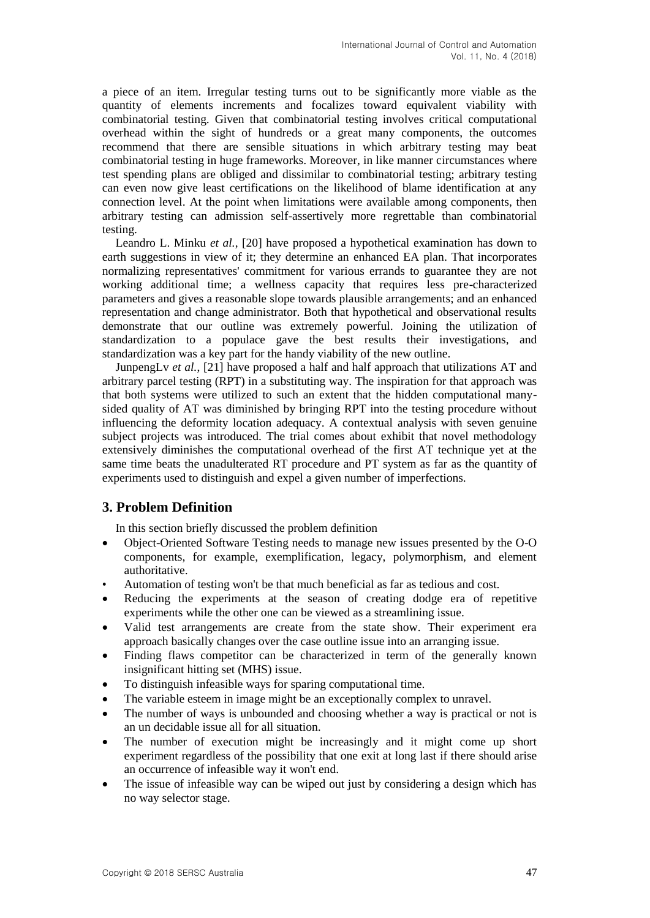a piece of an item. Irregular testing turns out to be significantly more viable as the quantity of elements increments and focalizes toward equivalent viability with combinatorial testing. Given that combinatorial testing involves critical computational overhead within the sight of hundreds or a great many components, the outcomes recommend that there are sensible situations in which arbitrary testing may beat combinatorial testing in huge frameworks. Moreover, in like manner circumstances where test spending plans are obliged and dissimilar to combinatorial testing; arbitrary testing can even now give least certifications on the likelihood of blame identification at any connection level. At the point when limitations were available among components, then arbitrary testing can admission self-assertively more regrettable than combinatorial testing.

Leandro L. Minku *et al.*, [20] have proposed a hypothetical examination has down to earth suggestions in view of it; they determine an enhanced EA plan. That incorporates normalizing representatives' commitment for various errands to guarantee they are not working additional time; a wellness capacity that requires less pre-characterized parameters and gives a reasonable slope towards plausible arrangements; and an enhanced representation and change administrator. Both that hypothetical and observational results demonstrate that our outline was extremely powerful. Joining the utilization of standardization to a populace gave the best results their investigations, and standardization was a key part for the handy viability of the new outline.

JunpengLv *et al.*, [21] have proposed a half and half approach that utilizations AT and arbitrary parcel testing (RPT) in a substituting way. The inspiration for that approach was that both systems were utilized to such an extent that the hidden computational manysided quality of AT was diminished by bringing RPT into the testing procedure without influencing the deformity location adequacy. A contextual analysis with seven genuine subject projects was introduced. The trial comes about exhibit that novel methodology extensively diminishes the computational overhead of the first AT technique yet at the same time beats the unadulterated RT procedure and PT system as far as the quantity of experiments used to distinguish and expel a given number of imperfections.

## **3. Problem Definition**

In this section briefly discussed the problem definition

- Object-Oriented Software Testing needs to manage new issues presented by the O-O components, for example, exemplification, legacy, polymorphism, and element authoritative.
- Automation of testing won't be that much beneficial as far as tedious and cost.
- Reducing the experiments at the season of creating dodge era of repetitive experiments while the other one can be viewed as a streamlining issue.
- Valid test arrangements are create from the state show. Their experiment era approach basically changes over the case outline issue into an arranging issue.
- Finding flaws competitor can be characterized in term of the generally known insignificant hitting set (MHS) issue.
- To distinguish infeasible ways for sparing computational time.
- The variable esteem in image might be an exceptionally complex to unravel.
- The number of ways is unbounded and choosing whether a way is practical or not is an un decidable issue all for all situation.
- The number of execution might be increasingly and it might come up short experiment regardless of the possibility that one exit at long last if there should arise an occurrence of infeasible way it won't end.
- The issue of infeasible way can be wiped out just by considering a design which has no way selector stage.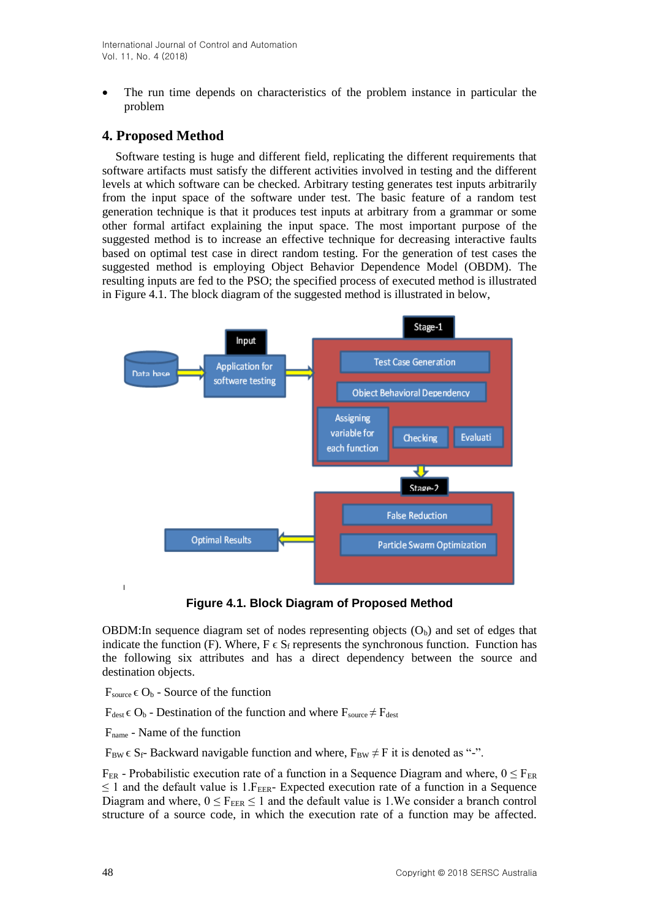The run time depends on characteristics of the problem instance in particular the problem

## **4. Proposed Method**

Software testing is huge and different field, replicating the different requirements that software artifacts must satisfy the different activities involved in testing and the different levels at which software can be checked. Arbitrary testing generates test inputs arbitrarily from the input space of the software under test. The basic feature of a random test generation technique is that it produces test inputs at arbitrary from a grammar or some other formal artifact explaining the input space. The most important purpose of the suggested method is to increase an effective technique for decreasing interactive faults based on optimal test case in direct random testing. For the generation of test cases the suggested method is employing Object Behavior Dependence Model (OBDM). The resulting inputs are fed to the PSO; the specified process of executed method is illustrated in Figure 4.1. The block diagram of the suggested method is illustrated in below,



**Figure 4.1. Block Diagram of Proposed Method**

OBDM: In sequence diagram set of nodes representing objects  $(O_b)$  and set of edges that indicate the function (F). Where,  $F \in S_f$  represents the synchronous function. Function has the following six attributes and has a direct dependency between the source and destination objects.

 $F_{source} \in O_b$  - Source of the function

 $F_{dest} \in O_b$  - Destination of the function and where  $F_{source} \neq F_{dest}$ 

Fname - Name of the function

 $F_{BW} \in S_f$ - Backward navigable function and where,  $F_{BW} \neq F$  it is denoted as "-".

 $F_{FR}$  - Probabilistic execution rate of a function in a Sequence Diagram and where,  $0 \le F_{FR}$  $\leq$  1 and the default value is 1. F<sub>EER</sub>- Expected execution rate of a function in a Sequence Diagram and where,  $0 \le F_{\text{EER}} \le 1$  and the default value is 1.We consider a branch control structure of a source code, in which the execution rate of a function may be affected.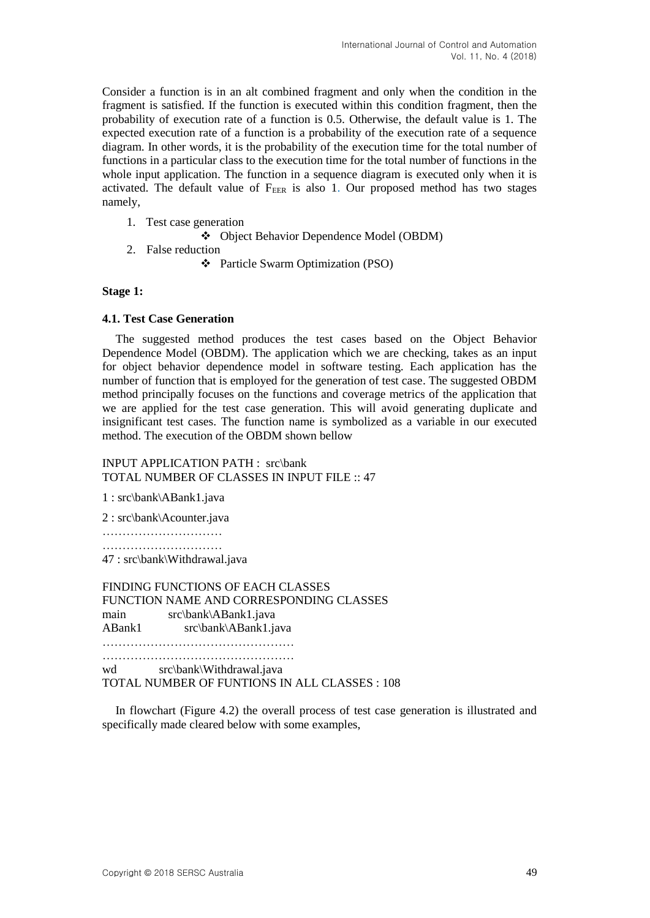Consider a function is in an alt combined fragment and only when the condition in the fragment is satisfied. If the function is executed within this condition fragment, then the probability of execution rate of a function is 0.5. Otherwise, the default value is 1. The expected execution rate of a function is a probability of the execution rate of a sequence diagram. In other words, it is the probability of the execution time for the total number of functions in a particular class to the execution time for the total number of functions in the whole input application. The function in a sequence diagram is executed only when it is activated. The default value of  $F_{EER}$  is also 1. Our proposed method has two stages namely,

- 1. Test case generation
	- Object Behavior Dependence Model (OBDM)
- 2. False reduction
	- Particle Swarm Optimization (PSO)

### **Stage 1:**

### **4.1. Test Case Generation**

The suggested method produces the test cases based on the Object Behavior Dependence Model (OBDM). The application which we are checking, takes as an input for object behavior dependence model in software testing. Each application has the number of function that is employed for the generation of test case. The suggested OBDM method principally focuses on the functions and coverage metrics of the application that we are applied for the test case generation. This will avoid generating duplicate and insignificant test cases. The function name is symbolized as a variable in our executed method. The execution of the OBDM shown bellow

INPUT APPLICATION PATH : src\bank TOTAL NUMBER OF CLASSES IN INPUT FILE :: 47

1 : src\bank\ABank1.java

2 : src\bank\Acounter.java

………………………… …………………………

47 : src\bank\Withdrawal.java

FINDING FUNCTIONS OF EACH CLASSES FUNCTION NAME AND CORRESPONDING CLASSES main src\bank\ABank1.java ABank1 src\bank\ABank1.java …………………………………………

…………………………………………

wd src\bank\Withdrawal.java TOTAL NUMBER OF FUNTIONS IN ALL CLASSES : 108

In flowchart (Figure 4.2) the overall process of test case generation is illustrated and specifically made cleared below with some examples,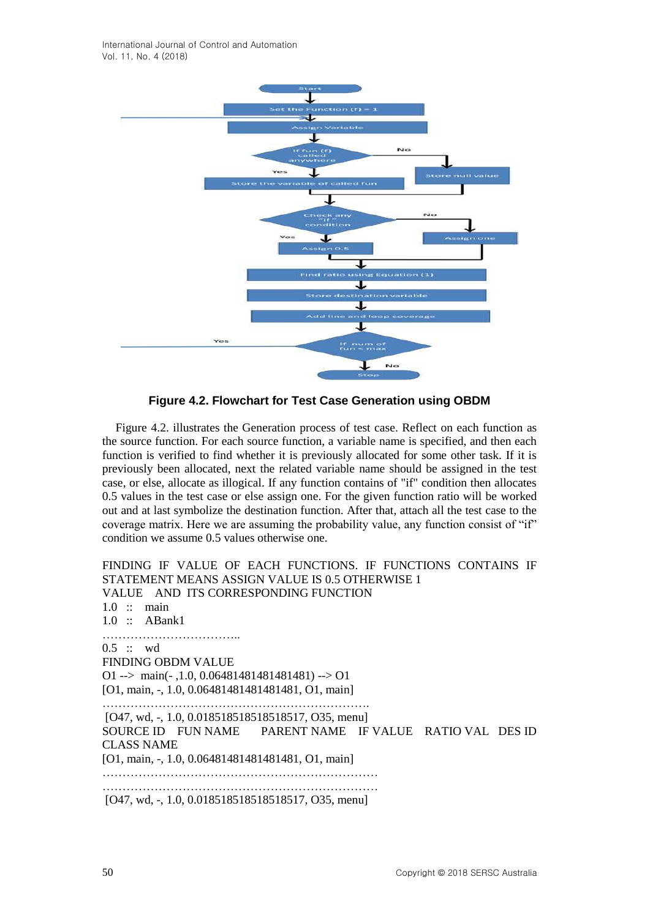International Journal of Control and Automation Vol. 11, No. 4 (2018)



**Figure 4.2. Flowchart for Test Case Generation using OBDM**

Figure 4.2. illustrates the Generation process of test case. Reflect on each function as the source function. For each source function, a variable name is specified, and then each function is verified to find whether it is previously allocated for some other task. If it is previously been allocated, next the related variable name should be assigned in the test case, or else, allocate as illogical. If any function contains of "if" condition then allocates 0.5 values in the test case or else assign one. For the given function ratio will be worked out and at last symbolize the destination function. After that, attach all the test case to the coverage matrix. Here we are assuming the probability value, any function consist of "if" condition we assume 0.5 values otherwise one.

FINDING IF VALUE OF EACH FUNCTIONS. IF FUNCTIONS CONTAINS IF STATEMENT MEANS ASSIGN VALUE IS 0.5 OTHERWISE 1 VALUE AND ITS CORRESPONDING FUNCTION  $1.0$  :: main 1.0 :: ABank1 …………………………………… 0.5 :: wd FINDING OBDM VALUE O1 --> main( $-1.0, 0.06481481481481481$ ) --> O1 [O1, main, -, 1.0, 0.06481481481481481, O1, main] …………………………………………………………. [O47, wd, -, 1.0, 0.018518518518518517, O35, menu] SOURCE ID FUN NAME PARENT NAME IF VALUE RATIO VAL DES ID CLASS NAME [O1, main, -, 1.0, 0.06481481481481481, O1, main] …………………………………………………………… …………………………………………………………… [O47, wd, -, 1.0, 0.018518518518518517, O35, menu]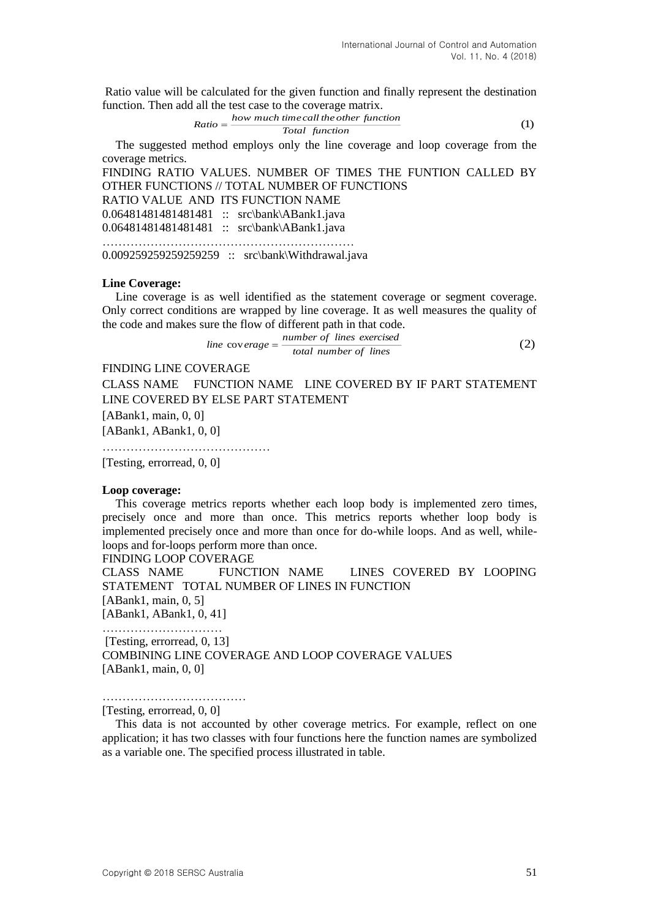Ratio value will be calculated for the given function and finally represent the destination function. Then add all the test case to the coverage matrix.

$$
Ratio = \frac{how \ much \ time \ call \ the \ other \ function}{Total \ function} \tag{1}
$$

The suggested method employs only the line coverage and loop coverage from the coverage metrics.

FINDING RATIO VALUES. NUMBER OF TIMES THE FUNTION CALLED BY OTHER FUNCTIONS // TOTAL NUMBER OF FUNCTIONS

RATIO VALUE AND ITS FUNCTION NAME

0.06481481481481481 :: src\bank\ABank1.java

0.06481481481481481 :: src\bank\ABank1.java ………………………………………………………

0.009259259259259259 :: src\bank\Withdrawal.java

#### **Line Coverage:**

Line coverage is as well identified as the statement coverage or segment coverage. Only correct conditions are wrapped by line coverage. It as well measures the quality of the code and makes sure the flow of different path in that code.

$$
line \, \, \text{cov} \, \, \text{erage} = \frac{\, \text{number of lines } \, \text{exercised}}{\, \text{total number of lines}} \tag{2}
$$

### FINDING LINE COVERAGE

CLASS NAME FUNCTION NAME LINE COVERED BY IF PART STATEMENT LINE COVERED BY ELSE PART STATEMENT

[ABank1, main, 0, 0]

[ABank1, ABank1, 0, 0]

……………………………………

[Testing, errorread, 0, 0]

#### **Loop coverage:**

This coverage metrics reports whether each loop body is implemented zero times, precisely once and more than once. This metrics reports whether loop body is implemented precisely once and more than once for do-while loops. And as well, whileloops and for-loops perform more than once.

FINDING LOOP COVERAGE

CLASS NAME FUNCTION NAME LINES COVERED BY LOOPING STATEMENT TOTAL NUMBER OF LINES IN FUNCTION [ABank1, main, 0, 5] [ABank1, ABank1, 0, 41]

…………………………

[Testing, errorread, 0, 13] COMBINING LINE COVERAGE AND LOOP COVERAGE VALUES [ABank1, main, 0, 0]

………………………………

#### [Testing, errorread, 0, 0]

This data is not accounted by other coverage metrics. For example, reflect on one application; it has two classes with four functions here the function names are symbolized as a variable one. The specified process illustrated in table.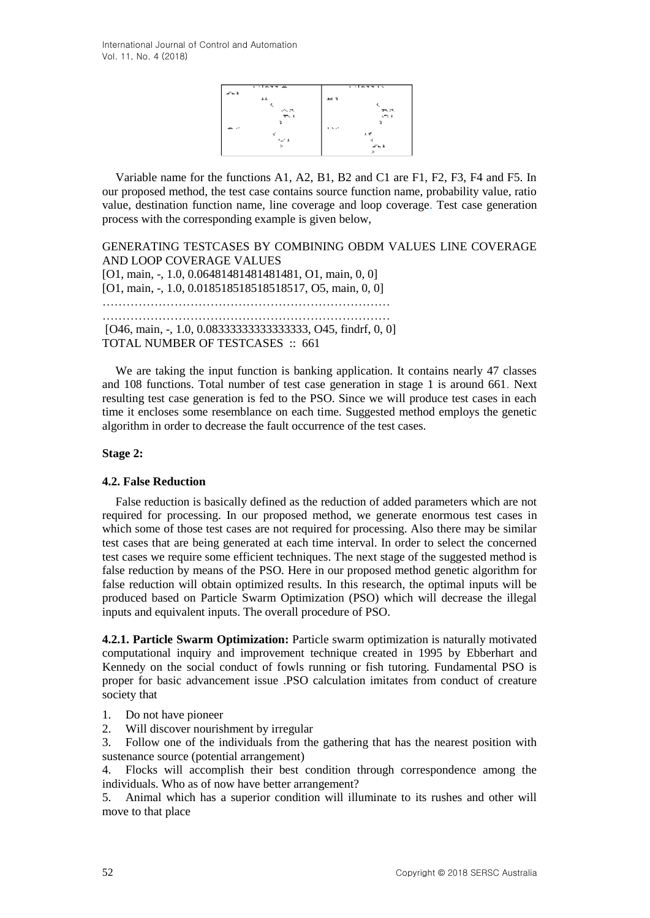

Variable name for the functions A1, A2, B1, B2 and C1 are F1, F2, F3, F4 and F5. In our proposed method, the test case contains source function name, probability value, ratio value, destination function name, line coverage and loop coverage. Test case generation process with the corresponding example is given below,

GENERATING TESTCASES BY COMBINING OBDM VALUES LINE COVERAGE AND LOOP COVERAGE VALUES [O1, main, -, 1.0, 0.06481481481481481, O1, main, 0, 0] [O1, main, -, 1.0, 0.018518518518518517, O5, main, 0, 0] ……………………………………………………………… ……………………………………………………………… [O46, main, -, 1.0, 0.0833333333333333333333, O45, findrf, 0, 0] TOTAL NUMBER OF TESTCASES :: 661

We are taking the input function is banking application. It contains nearly 47 classes and 108 functions. Total number of test case generation in stage 1 is around 661. Next resulting test case generation is fed to the PSO. Since we will produce test cases in each time it encloses some resemblance on each time. Suggested method employs the genetic algorithm in order to decrease the fault occurrence of the test cases.

### **Stage 2:**

### **4.2. False Reduction**

False reduction is basically defined as the reduction of added parameters which are not required for processing. In our proposed method, we generate enormous test cases in which some of those test cases are not required for processing. Also there may be similar test cases that are being generated at each time interval. In order to select the concerned test cases we require some efficient techniques. The next stage of the suggested method is false reduction by means of the PSO. Here in our proposed method genetic algorithm for false reduction will obtain optimized results. In this research, the optimal inputs will be produced based on Particle Swarm Optimization (PSO) which will decrease the illegal inputs and equivalent inputs. The overall procedure of PSO.

**4.2.1. Particle Swarm Optimization:** Particle swarm optimization is naturally motivated computational inquiry and improvement technique created in 1995 by Ebberhart and Kennedy on the social conduct of fowls running or fish tutoring. Fundamental PSO is proper for basic advancement issue .PSO calculation imitates from conduct of creature society that

- 1. Do not have pioneer
- 2. Will discover nourishment by irregular
- 3. Follow one of the individuals from the gathering that has the nearest position with sustenance source (potential arrangement)

4. Flocks will accomplish their best condition through correspondence among the individuals. Who as of now have better arrangement?

5. Animal which has a superior condition will illuminate to its rushes and other will move to that place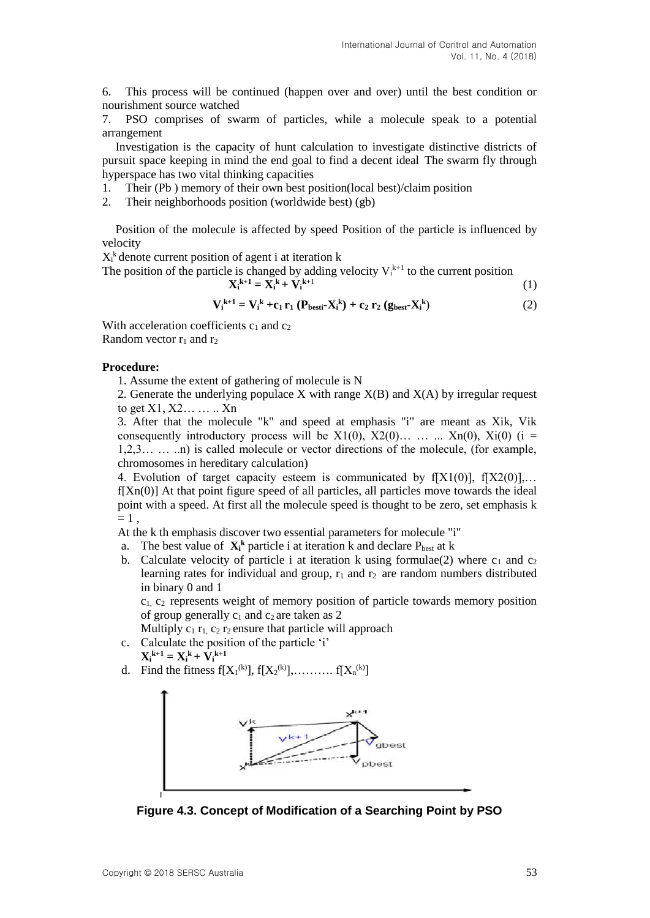6. This process will be continued (happen over and over) until the best condition or nourishment source watched

7. PSO comprises of swarm of particles, while a molecule speak to a potential arrangement

Investigation is the capacity of hunt calculation to investigate distinctive districts of pursuit space keeping in mind the end goal to find a decent ideal The swarm fly through hyperspace has two vital thinking capacities

- 1. Their (Pb ) memory of their own best position(local best)/claim position
- 2. Their neighborhoods position (worldwide best) (gb)

Position of the molecule is affected by speed Position of the particle is influenced by velocity

 $X_i^k$  denote current position of agent i at iteration k

The position of the particle is changed by adding velocity  $V_i^{k+1}$  to the current position

$$
\mathbf{X_i}^{k+1} = \mathbf{X_i}^k + \mathbf{V_i}^{k+1} \tag{1}
$$

$$
\mathbf{V}_{i}^{k+1} = \mathbf{V}_{i}^{k} + \mathbf{c}_{1} \mathbf{r}_{1} \left( \mathbf{P}_{best} - \mathbf{X}_{i}^{k} \right) + \mathbf{c}_{2} \mathbf{r}_{2} \left( \mathbf{g}_{best} - \mathbf{X}_{i}^{k} \right) \tag{2}
$$

With acceleration coefficients  $c_1$  and  $c_2$ Random vector  $r_1$  and  $r_2$ 

#### **Procedure:**

1. Assume the extent of gathering of molecule is N

2. Generate the underlying populace X with range  $X(B)$  and  $X(A)$  by irregular request to get  $X1, X2, \ldots, Xn$ 

3. After that the molecule "k" and speed at emphasis "i" are meant as Xik, Vik consequently introductory process will be  $X1(0)$ ,  $X2(0)$ … ...  $\ldots$   $Xn(0)$ ,  $Xi(0)$  (i = 1,2,3… … ..n) is called molecule or vector directions of the molecule, (for example, chromosomes in hereditary calculation)

4. Evolution of target capacity esteem is communicated by  $f[X1(0)]$ ,  $f[X2(0)]$ ,...  $f[Xn(0)]$  At that point figure speed of all particles, all particles move towards the ideal point with a speed. At first all the molecule speed is thought to be zero, set emphasis k  $= 1$ ,

At the k th emphasis discover two essential parameters for molecule "i"

- a. The best value of  $X_i^k$  particle i at iteration k and declare  $P_{best}$  at k
- b. Calculate velocity of particle i at iteration k using formulae(2) where  $c_1$  and  $c_2$ learning rates for individual and group,  $r_1$  and  $r_2$  are random numbers distributed in binary 0 and 1

 $c_1$ ,  $c_2$  represents weight of memory position of particle towards memory position of group generally  $c_1$  and  $c_2$  are taken as 2

Multiply  $c_1 r_1$ ,  $c_2 r_2$  ensure that particle will approach

- c. Calculate the position of the particle 'i'  $X_i^{k+1} = X_i^k + V_i^{k+1}$
- d. Find the fitness  $f[X_1^{(k)}], f[X_2^{(k)}], \dots, f[X_n^{(k)}]$



**Figure 4.3. Concept of Modification of a Searching Point by PSO**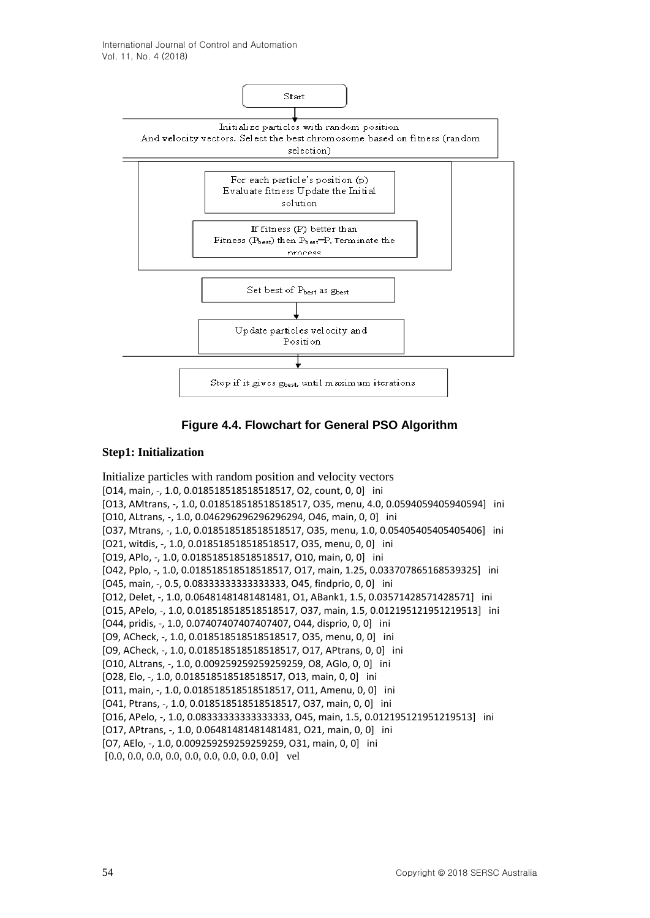

**Figure 4.4. Flowchart for General PSO Algorithm**

### **Step1: Initialization**

Initialize particles with random position and velocity vectors [O14, main, -, 1.0, 0.018518518518518517, O2, count, 0, 0] ini [O13, AMtrans, -, 1.0, 0.018518518518518517, O35, menu, 4.0, 0.0594059405940594] ini [O10, ALtrans, -, 1.0, 0.046296296296296294, O46, main, 0, 0] ini [O37, Mtrans, -, 1.0, 0.018518518518518517, O35, menu, 1.0, 0.05405405405405406] ini [O21, witdis, -, 1.0, 0.018518518518518517, O35, menu, 0, 0] ini [O19, APlo, -, 1.0, 0.018518518518518517, O10, main, 0, 0] ini [O42, Pplo, -, 1.0, 0.018518518518518517, O17, main, 1.25, 0.033707865168539325] ini [O45, main, -, 0.5, 0.08333333333333333, O45, findprio, 0, 0] ini [O12, Delet, -, 1.0, 0.06481481481481481, O1, ABank1, 1.5, 0.03571428571428571] ini [O15, APelo, -, 1.0, 0.018518518518518517, O37, main, 1.5, 0.012195121951219513] ini [O44, pridis, -, 1.0, 0.07407407407407407, O44, disprio, 0, 0] ini [O9, ACheck, -, 1.0, 0.018518518518518517, O35, menu, 0, 0] ini [O9, ACheck, -, 1.0, 0.018518518518518517, O17, APtrans, 0, 0] ini [O10, ALtrans, -, 1.0, 0.009259259259259259, O8, AGlo, 0, 0] ini [O28, Elo, -, 1.0, 0.018518518518518517, O13, main, 0, 0] ini [O11, main, -, 1.0, 0.018518518518518517, O11, Amenu, 0, 0] ini [O41, Ptrans, -, 1.0, 0.018518518518518517, O37, main, 0, 0] ini [O16, APelo, -, 1.0, 0.08333333333333333, O45, main, 1.5, 0.012195121951219513] ini [O17, APtrans, -, 1.0, 0.06481481481481481, O21, main, 0, 0] ini [O7, AElo, -, 1.0, 0.009259259259259259, O31, main, 0, 0] ini [0.0, 0.0, 0.0, 0.0, 0.0, 0.0, 0.0, 0.0, 0.0] vel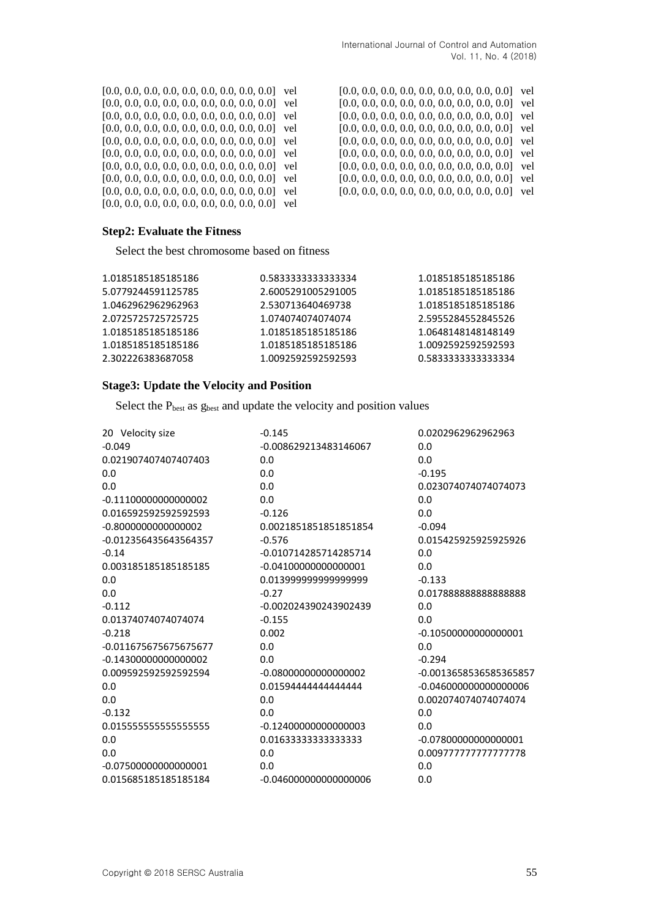[0.0, 0.0, 0.0, 0.0, 0.0, 0.0, 0.0, 0.0, 0.0] vel [0.0, 0.0, 0.0, 0.0, 0.0, 0.0, 0.0, 0.0, 0.0] vel [0.0, 0.0, 0.0, 0.0, 0.0, 0.0, 0.0, 0.0, 0.0] vel [0.0, 0.0, 0.0, 0.0, 0.0, 0.0, 0.0, 0.0, 0.0] vel [0.0, 0.0, 0.0, 0.0, 0.0, 0.0, 0.0, 0.0, 0.0] vel [0.0, 0.0, 0.0, 0.0, 0.0, 0.0, 0.0, 0.0, 0.0] vel [0.0, 0.0, 0.0, 0.0, 0.0, 0.0, 0.0, 0.0, 0.0] vel [0.0, 0.0, 0.0, 0.0, 0.0, 0.0, 0.0, 0.0, 0.0] vel [0.0, 0.0, 0.0, 0.0, 0.0, 0.0, 0.0, 0.0, 0.0] vel [0.0, 0.0, 0.0, 0.0, 0.0, 0.0, 0.0, 0.0, 0.0] vel [0.0, 0.0, 0.0, 0.0, 0.0, 0.0, 0.0, 0.0, 0.0] vel [0.0, 0.0, 0.0, 0.0, 0.0, 0.0, 0.0, 0.0, 0.0] vel [0.0, 0.0, 0.0, 0.0, 0.0, 0.0, 0.0, 0.0, 0.0] vel [0.0, 0.0, 0.0, 0.0, 0.0, 0.0, 0.0, 0.0, 0.0] vel [0.0, 0.0, 0.0, 0.0, 0.0, 0.0, 0.0, 0.0, 0.0] vel [0.0, 0.0, 0.0, 0.0, 0.0, 0.0, 0.0, 0.0, 0.0] vel [0.0, 0.0, 0.0, 0.0, 0.0, 0.0, 0.0, 0.0, 0.0] vel [0.0, 0.0, 0.0, 0.0, 0.0, 0.0, 0.0, 0.0, 0.0] vel [0.0, 0.0, 0.0, 0.0, 0.0, 0.0, 0.0, 0.0, 0.0] vel

### **Step2: Evaluate the Fitness**

Select the best chromosome based on fitness

| 1.0185185185185186 | 0.583333333333334  | 1.0185185185185186 |
|--------------------|--------------------|--------------------|
| 5.0779244591125785 | 2.6005291005291005 | 1.0185185185185186 |
| 1.0462962962962963 | 2.530713640469738  | 1.0185185185185186 |
| 2.0725725725725725 | 1.074074074074074  | 2.5955284552845526 |
| 1.0185185185185186 | 1.0185185185185186 | 1.0648148148148149 |
| 1.0185185185185186 | 1.0185185185185186 | 1.0092592592592593 |
| 2.302226383687058  | 1.0092592592592593 | 0.583333333333334  |
|                    |                    |                    |

### **Stage3: Update the Velocity and Position**

Select the  $P_{best}$  as  $g_{best}$  and update the velocity and position values

| 20 Velocity size        | $-0.145$                | 0.0202962962962963      |
|-------------------------|-------------------------|-------------------------|
| $-0.049$                | -0.008629213483146067   | 0.0                     |
| 0.021907407407407403    | 0.0                     | 0.0                     |
| 0.0                     | 0.0                     | $-0.195$                |
| 0.0                     | 0.0                     | 0.023074074074074073    |
| $-0.111000000000000002$ | 0.0                     | 0.0                     |
| 0.016592592592592593    | $-0.126$                | 0.0                     |
| $-0.8000000000000002$   | 0.0021851851851851854   | $-0.094$                |
| -0.012356435643564357   | $-0.576$                | 0.015425925925925926    |
| $-0.14$                 | -0.010714285714285714   | 0.0                     |
| 0.003185185185185185    | $-0.04100000000000001$  | 0.0                     |
| 0.0                     | 0.01399999999999999     | $-0.133$                |
| 0.0                     | $-0.27$                 | 0.01788888888888888     |
| $-0.112$                | -0.002024390243902439   | 0.0                     |
| 0.01374074074074074     | $-0.155$                | 0.0                     |
| $-0.218$                | 0.002                   | $-0.10500000000000001$  |
| -0.011675675675675677   | 0.0                     | 0.0                     |
| $-0.14300000000000002$  | 0.0                     | $-0.294$                |
| 0.009592592592592594    | $-0.08000000000000002$  | -0.0013658536585365857  |
| 0.0                     | 0.01594444444444444     | $-0.046000000000000006$ |
| 0.0                     | 0.0                     | 0.002074074074074074    |
| $-0.132$                | 0.0                     | 0.0                     |
| 0.01555555555555555555  | $-0.12400000000000003$  | 0.0                     |
| 0.0                     | 0.01633333333333333     | $-0.07800000000000001$  |
| 0.0                     | 0.0                     | 0.009777777777777778    |
| $-0.07500000000000001$  | 0.0                     | 0.0                     |
| 0.015685185185185184    | $-0.046000000000000006$ | 0.0                     |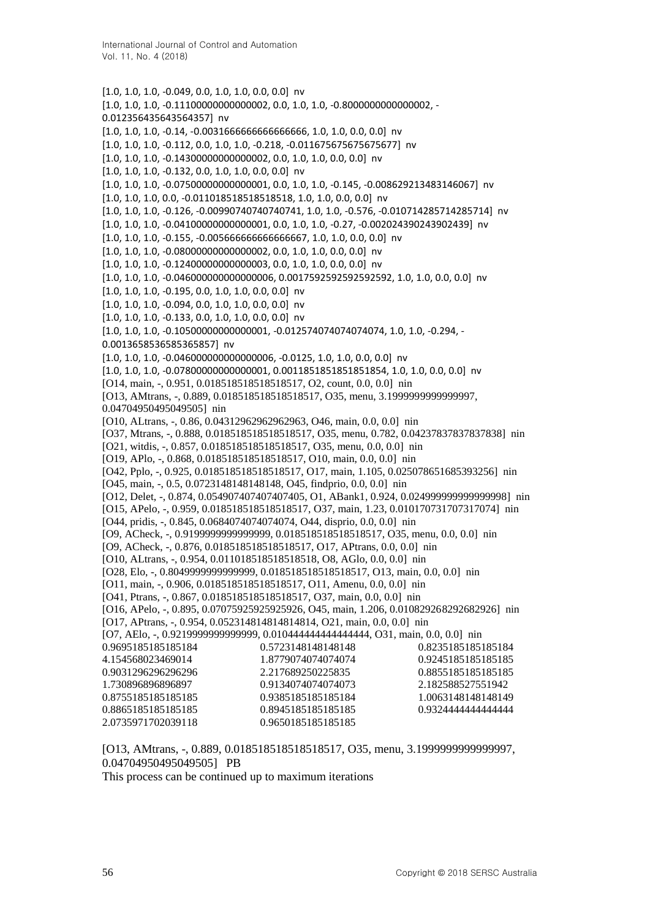[1.0, 1.0, 1.0, -0.049, 0.0, 1.0, 1.0, 0.0, 0.0] nv [1.0, 1.0, 1.0, -0.11100000000000002, 0.0, 1.0, 1.0, -0.8000000000000002, - 0.012356435643564357] nv [1.0, 1.0, 1.0, -0.14, -0.0031666666666666666, 1.0, 1.0, 0.0, 0.0] nv [1.0, 1.0, 1.0, -0.112, 0.0, 1.0, 1.0, -0.218, -0.011675675675675677] nv [1.0, 1.0, 1.0, -0.14300000000000002, 0.0, 1.0, 1.0, 0.0, 0.0] nv [1.0, 1.0, 1.0, -0.132, 0.0, 1.0, 1.0, 0.0, 0.0] nv [1.0, 1.0, 1.0, -0.07500000000000001, 0.0, 1.0, 1.0, -0.145, -0.008629213483146067] nv [1.0, 1.0, 1.0, 0.0, -0.011018518518518518, 1.0, 1.0, 0.0, 0.0] nv [1.0, 1.0, 1.0, -0.126, -0.00990740740740741, 1.0, 1.0, -0.576, -0.010714285714285714] nv [1.0, 1.0, 1.0, -0.04100000000000001, 0.0, 1.0, 1.0, -0.27, -0.002024390243902439] nv [1.0, 1.0, 1.0, -0.155, -0.005666666666666667, 1.0, 1.0, 0.0, 0.0] nv [1.0, 1.0, 1.0, -0.08000000000000002, 0.0, 1.0, 1.0, 0.0, 0.0] nv [1.0, 1.0, 1.0, -0.12400000000000003, 0.0, 1.0, 1.0, 0.0, 0.0] nv [1.0, 1.0, 1.0, -0.046000000000000006, 0.0017592592592592592, 1.0, 1.0, 0.0, 0.0] nv [1.0, 1.0, 1.0, -0.195, 0.0, 1.0, 1.0, 0.0, 0.0] nv [1.0, 1.0, 1.0, -0.094, 0.0, 1.0, 1.0, 0.0, 0.0] nv [1.0, 1.0, 1.0, -0.133, 0.0, 1.0, 1.0, 0.0, 0.0] nv [1.0, 1.0, 1.0, -0.10500000000000001, -0.012574074074074074, 1.0, 1.0, -0.294, - 0.0013658536585365857] nv [1.0, 1.0, 1.0, -0.046000000000000006, -0.0125, 1.0, 1.0, 0.0, 0.0] nv [1.0, 1.0, 1.0, -0.07800000000000001, 0.0011851851851851854, 1.0, 1.0, 0.0, 0.0] nv [O14, main, -, 0.951, 0.018518518518518517, O2, count, 0.0, 0.0] nin [O13, AMtrans, -, 0.889, 0.018518518518518517, O35, menu, 3.1999999999999997, 0.04704950495049505] nin [O10, ALtrans, -, 0.86, 0.04312962962962963, O46, main, 0.0, 0.0] nin [O37, Mtrans, -, 0.888, 0.018518518518518517, O35, menu, 0.782, 0.04237837837837838] nin [O21, witdis, -, 0.857, 0.018518518518518517, O35, menu, 0.0, 0.0] nin [O19, APlo, -, 0.868, 0.018518518518518517, O10, main, 0.0, 0.0] nin [O42, Pplo, -, 0.925, 0.018518518518518517, O17, main, 1.105, 0.025078651685393256] nin [O45, main, -, 0.5, 0.0723148148148148, O45, findprio, 0.0, 0.0] nin [O12, Delet, -, 0.874, 0.054907407407407405, O1, ABank1, 0.924, 0.024999999999999998] nin [O15, APelo, -, 0.959, 0.018518518518518517, O37, main, 1.23, 0.010170731707317074] nin [O44, pridis, -, 0.845, 0.0684074074074074, O44, disprio, 0.0, 0.0] nin [O9, ACheck, -, 0.9199999999999999, 0.018518518518518517, O35, menu, 0.0, 0.0] nin [O9, ACheck, -, 0.876, 0.018518518518518517, O17, APtrans, 0.0, 0.0] nin [O10, ALtrans, -, 0.954, 0.011018518518518518, O8, AGlo, 0.0, 0.0] nin [O28, Elo, -, 0.8049999999999999, 0.018518518518518517, O13, main, 0.0, 0.0] nin [O11, main, -, 0.906, 0.018518518518518517, O11, Amenu, 0.0, 0.0] nin [O41, Ptrans, -, 0.867, 0.018518518518518517, O37, main, 0.0, 0.0] nin [O16, APelo, -, 0.895, 0.07075925925925926, O45, main, 1.206, 0.010829268292682926] nin [O17, APtrans, -, 0.954, 0.052314814814814814, O21, main, 0.0, 0.0] nin [O7, AElo, -, 0.9219999999999999, 0.010444444444444444, O31, main, 0.0, 0.0] nin 0.9695185185185184 4.154568023469014 0.9031296296296296 1.730896896896897 0.8755185185185185 0.8865185185185185 2.0735971702039118 0.5723148148148148 1.8779074074074074 2.217689250225835 0.9134074074074073 0.9385185185185184 0.8945185185185185 0.9650185185185185 0.8235185185185184 0.9245185185185185 0.8855185185185185 2.182588527551942 1.0063148148148149 0.9324444444444444

[O13, AMtrans, -, 0.889, 0.018518518518518517, O35, menu, 3.1999999999999997, 0.04704950495049505] PB

This process can be continued up to maximum iterations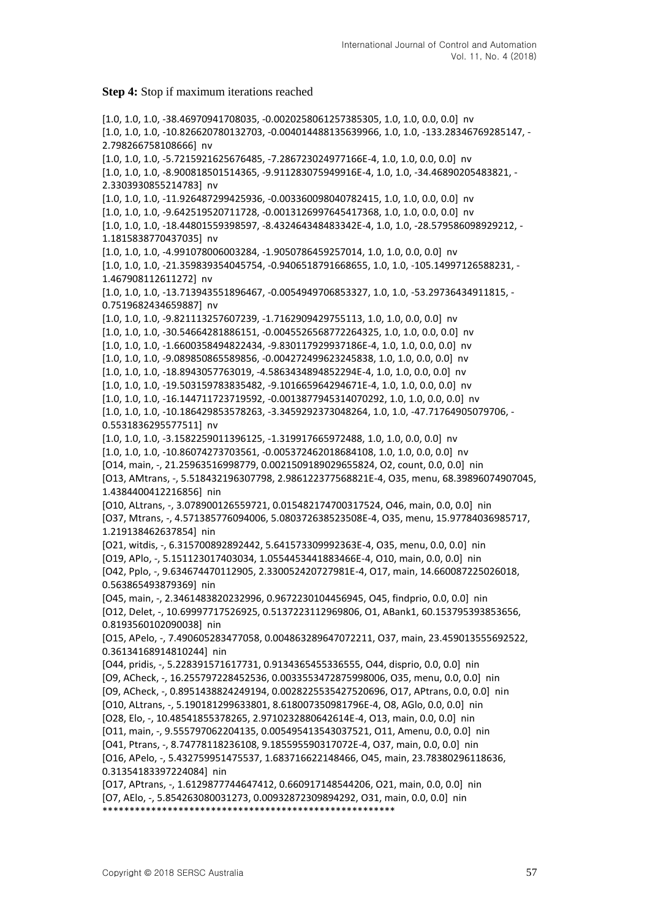#### **Step 4:** Stop if maximum iterations reached

[1.0, 1.0, 1.0, -38.46970941708035, -0.0020258061257385305, 1.0, 1.0, 0.0, 0.0] nv [1.0, 1.0, 1.0, -10.826620780132703, -0.004014488135639966, 1.0, 1.0, -133.28346769285147, - 2.798266758108666] nv [1.0, 1.0, 1.0, -5.7215921625676485, -7.286723024977166E-4, 1.0, 1.0, 0.0, 0.0] nv [1.0, 1.0, 1.0, -8.900818501514365, -9.911283075949916E-4, 1.0, 1.0, -34.46890205483821, - 2.3303930855214783] nv [1.0, 1.0, 1.0, -11.926487299425936, -0.003360098040782415, 1.0, 1.0, 0.0, 0.0] nv [1.0, 1.0, 1.0, -9.642519520711728, -0.0013126997645417368, 1.0, 1.0, 0.0, 0.0] nv [1.0, 1.0, 1.0, -18.44801559398597, -8.432464348483342E-4, 1.0, 1.0, -28.579586098929212, - 1.1815838770437035] nv [1.0, 1.0, 1.0, -4.991078006003284, -1.9050786459257014, 1.0, 1.0, 0.0, 0.0] nv [1.0, 1.0, 1.0, -21.359839354045754, -0.9406518791668655, 1.0, 1.0, -105.14997126588231, - 1.467908112611272] nv [1.0, 1.0, 1.0, -13.713943551896467, -0.0054949706853327, 1.0, 1.0, -53.29736434911815, - 0.7519682434659887] nv [1.0, 1.0, 1.0, -9.821113257607239, -1.7162909429755113, 1.0, 1.0, 0.0, 0.0] nv [1.0, 1.0, 1.0, -30.54664281886151, -0.0045526568772264325, 1.0, 1.0, 0.0, 0.0] nv [1.0, 1.0, 1.0, -1.6600358494822434, -9.830117929937186E-4, 1.0, 1.0, 0.0, 0.0] nv [1.0, 1.0, 1.0, -9.089850865589856, -0.004272499623245838, 1.0, 1.0, 0.0, 0.0] nv [1.0, 1.0, 1.0, -18.8943057763019, -4.5863434894852294E-4, 1.0, 1.0, 0.0, 0.0] nv [1.0, 1.0, 1.0, -19.503159783835482, -9.101665964294671E-4, 1.0, 1.0, 0.0, 0.0] nv [1.0, 1.0, 1.0, -16.144711723719592, -0.0013877945314070292, 1.0, 1.0, 0.0, 0.0] nv [1.0, 1.0, 1.0, -10.186429853578263, -3.3459292373048264, 1.0, 1.0, -47.71764905079706, - 0.5531836295577511] nv [1.0, 1.0, 1.0, -3.1582259011396125, -1.319917665972488, 1.0, 1.0, 0.0, 0.0] nv [1.0, 1.0, 1.0, -10.86074273703561, -0.005372462018684108, 1.0, 1.0, 0.0, 0.0] nv [O14, main, -, 21.25963516998779, 0.0021509189029655824, O2, count, 0.0, 0.0] nin [O13, AMtrans, -, 5.518432196307798, 2.986122377568821E-4, O35, menu, 68.39896074907045, 1.4384400412216856] nin [O10, ALtrans, -, 3.078900126559721, 0.015482174700317524, O46, main, 0.0, 0.0] nin [O37, Mtrans, -, 4.571385776094006, 5.080372638523508E-4, O35, menu, 15.97784036985717, 1.219138462637854] nin [O21, witdis, -, 6.315700892892442, 5.641573309992363E-4, O35, menu, 0.0, 0.0] nin [O19, APlo, -, 5.151123017403034, 1.0554453441883466E-4, O10, main, 0.0, 0.0] nin [O42, Pplo, -, 9.634674470112905, 2.330052420727981E-4, O17, main, 14.660087225026018, 0.563865493879369] nin [O45, main, -, 2.3461483820232996, 0.9672230104456945, O45, findprio, 0.0, 0.0] nin [O12, Delet, -, 10.69997717526925, 0.5137223112969806, O1, ABank1, 60.153795393853656, 0.8193560102090038] nin [O15, APelo, -, 7.490605283477058, 0.004863289647072211, O37, main, 23.459013555692522, 0.36134168914810244] nin [O44, pridis, -, 5.228391571617731, 0.9134365455336555, O44, disprio, 0.0, 0.0] nin [O9, ACheck, -, 16.255797228452536, 0.0033553472875998006, O35, menu, 0.0, 0.0] nin [O9, ACheck, -, 0.8951438824249194, 0.0028225535427520696, O17, APtrans, 0.0, 0.0] nin [O10, ALtrans, -, 5.190181299633801, 8.618007350981796E-4, O8, AGlo, 0.0, 0.0] nin [O28, Elo, -, 10.48541855378265, 2.9710232880642614E-4, O13, main, 0.0, 0.0] nin [O11, main, -, 9.555797062204135, 0.005495413543037521, O11, Amenu, 0.0, 0.0] nin [O41, Ptrans, -, 8.74778118236108, 9.185595590317072E-4, O37, main, 0.0, 0.0] nin [O16, APelo, -, 5.432759951475537, 1.683716622148466, O45, main, 23.78380296118636, 0.31354183397224084] nin [O17, APtrans, -, 1.6129877744647412, 0.660917148544206, O21, main, 0.0, 0.0] nin [O7, AElo, -, 5.854263080031273, 0.00932872309894292, O31, main, 0.0, 0.0] nin \*\*\*\*\*\*\*\*\*\*\*\*\*\*\*\*\*\*\*\*\*\*\*\*\*\*\*\*\*\*\*\*\*\*\*\*\*\*\*\*\*\*\*\*\*\*\*\*\*\*\*\*\*\*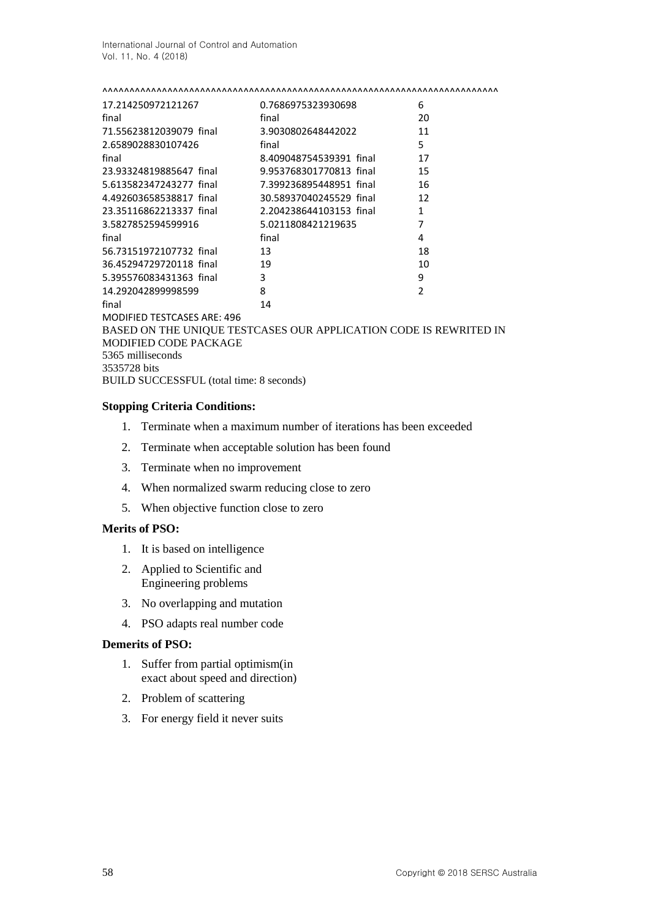| 17.214250972121267                              | 0.7686975323930698                                                | 6              |
|-------------------------------------------------|-------------------------------------------------------------------|----------------|
| final                                           | final                                                             | 20             |
| 71.55623812039079 final                         | 3.9030802648442022                                                | 11             |
| 2.6589028830107426                              | final                                                             | 5              |
| final                                           | 8.409048754539391 final                                           | 17             |
| 23.93324819885647 final                         | 9.953768301770813 final                                           | 15             |
| 5.613582347243277 final                         | 7.399236895448951 final                                           | 16             |
| 4.492603658538817 final                         | 30.58937040245529 final                                           | 12             |
| 23.35116862213337 final 2.204238644103153 final |                                                                   | 1              |
| 3.5827852594599916                              | 5.0211808421219635                                                | 7              |
| final                                           | final                                                             | 4              |
| 56.73151972107732 final                         | 13                                                                | 18             |
| 36.45294729720118 final                         | 19                                                                | 10             |
| 5.395576083431363 final                         | 3                                                                 | 9              |
| 14.292042899998599                              | 8                                                                 | $\mathfrak{p}$ |
| final                                           | 14                                                                |                |
| <b>MODIFIED TESTCASES ARE: 496</b>              |                                                                   |                |
|                                                 | BASED ON THE UNIQUE TESTCASES OUR APPLICATION CODE IS REWRITED IN |                |

MODIFIED CODE PACKAGE 5365 milliseconds 3535728 bits BUILD SUCCESSFUL (total time: 8 seconds)

### **Stopping Criteria Conditions:**

- 1. Terminate when a maximum number of iterations has been exceeded
- 2. Terminate when acceptable solution has been found
- 3. Terminate when no improvement
- 4. When normalized swarm reducing close to zero
- 5. When objective function close to zero

### **Merits of PSO:**

- 1. It is based on intelligence
- 2. Applied to Scientific and Engineering problems
- 3. No overlapping and mutation
- 4. PSO adapts real number code

### **Demerits of PSO:**

- 1. Suffer from partial optimism(in exact about speed and direction)
- 2. Problem of scattering
- 3. For energy field it never suits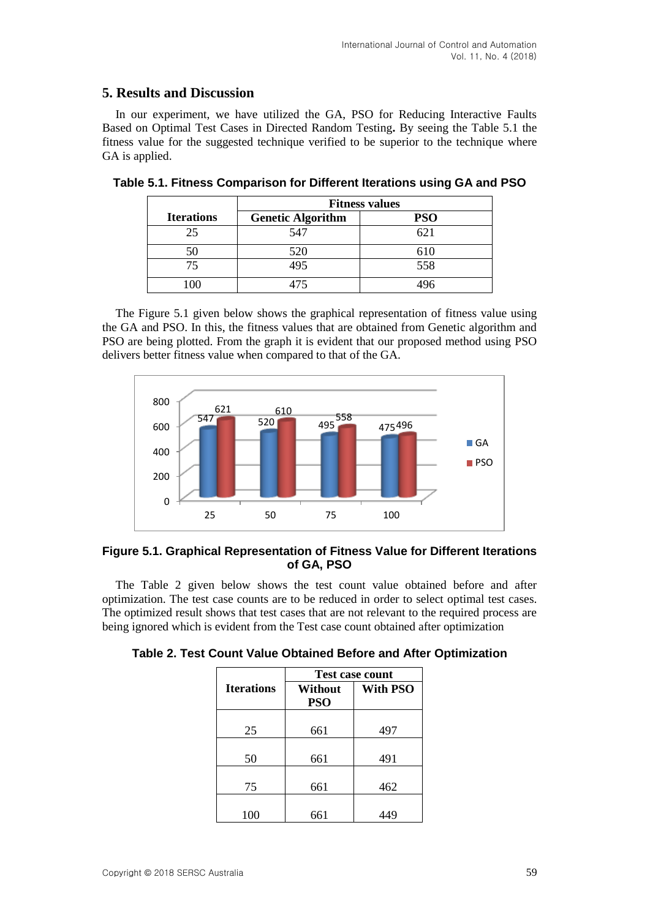## **5. Results and Discussion**

In our experiment, we have utilized the GA, PSO for Reducing Interactive Faults Based on Optimal Test Cases in Directed Random Testing**.** By seeing the Table 5.1 the fitness value for the suggested technique verified to be superior to the technique where GA is applied.

|                   | <b>Fitness values</b>    |            |  |
|-------------------|--------------------------|------------|--|
| <b>Iterations</b> | <b>Genetic Algorithm</b> | <b>PSO</b> |  |
| 25                | 547                      | 621        |  |
|                   | 520                      | 610        |  |
| 75                | 495                      | 558        |  |
|                   |                          |            |  |

**Table 5.1. Fitness Comparison for Different Iterations using GA and PSO**

The Figure 5.1 given below shows the graphical representation of fitness value using the GA and PSO. In this, the fitness values that are obtained from Genetic algorithm and PSO are being plotted. From the graph it is evident that our proposed method using PSO delivers better fitness value when compared to that of the GA.



### **Figure 5.1. Graphical Representation of Fitness Value for Different Iterations of GA, PSO**

The Table 2 given below shows the test count value obtained before and after optimization. The test case counts are to be reduced in order to select optimal test cases. The optimized result shows that test cases that are not relevant to the required process are being ignored which is evident from the Test case count obtained after optimization

|  |  |  |  |  |  | Table 2. Test Count Value Obtained Before and After Optimization |
|--|--|--|--|--|--|------------------------------------------------------------------|
|--|--|--|--|--|--|------------------------------------------------------------------|

|                   | <b>Test case count</b> |                 |  |  |
|-------------------|------------------------|-----------------|--|--|
| <b>Iterations</b> | Without<br><b>PSO</b>  | <b>With PSO</b> |  |  |
|                   |                        |                 |  |  |
| 25                | 661                    | 497             |  |  |
|                   |                        |                 |  |  |
| 50                | 661                    | 491             |  |  |
|                   |                        |                 |  |  |
| 75                | 661                    | 462             |  |  |
|                   |                        |                 |  |  |
| 100               | 661                    |                 |  |  |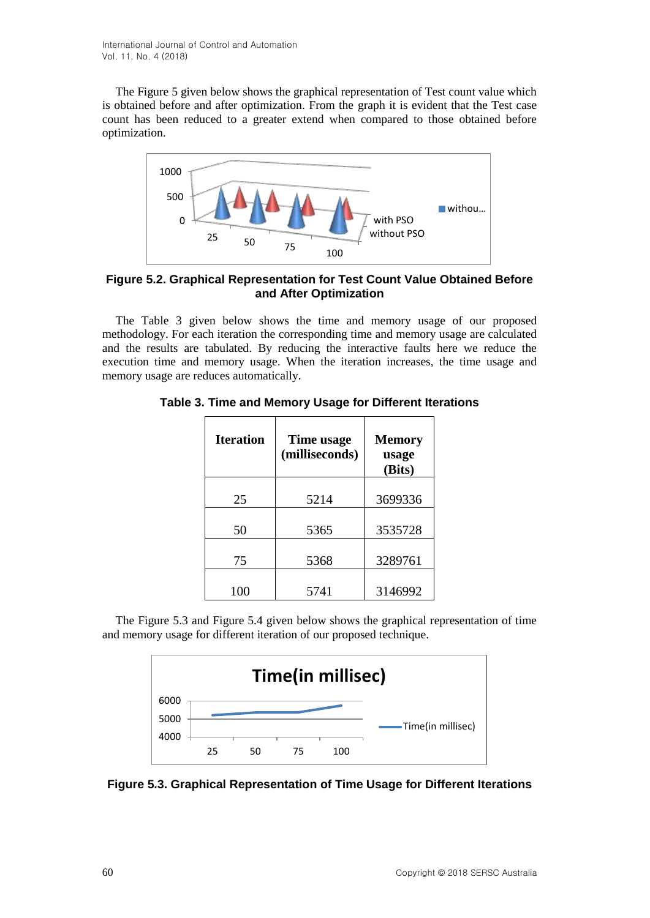The Figure 5 given below shows the graphical representation of Test count value which is obtained before and after optimization. From the graph it is evident that the Test case count has been reduced to a greater extend when compared to those obtained before optimization.



## **Figure 5.2. Graphical Representation for Test Count Value Obtained Before and After Optimization**

The Table 3 given below shows the time and memory usage of our proposed methodology. For each iteration the corresponding time and memory usage are calculated and the results are tabulated. By reducing the interactive faults here we reduce the execution time and memory usage. When the iteration increases, the time usage and memory usage are reduces automatically.

| Time usage<br>(milliseconds) | <b>Memory</b><br>usage<br>(Bits) |  |
|------------------------------|----------------------------------|--|
| 5214                         | 3699336                          |  |
|                              | 3535728                          |  |
|                              | 3289761                          |  |
|                              | 3146992                          |  |
|                              | 5365<br>5368<br>5741             |  |

**Table 3. Time and Memory Usage for Different Iterations**

The Figure 5.3 and Figure 5.4 given below shows the graphical representation of time and memory usage for different iteration of our proposed technique.



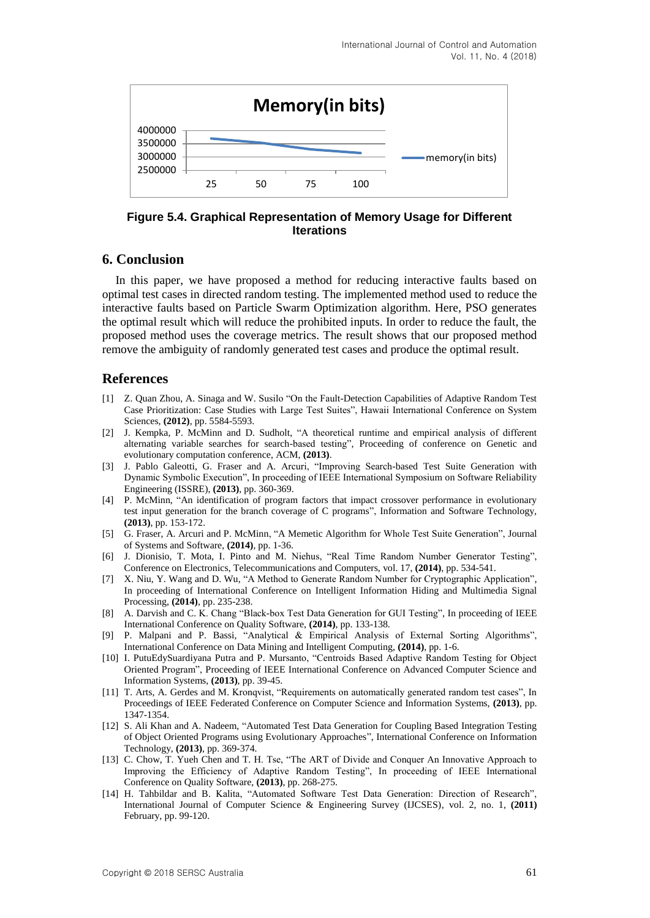

**Figure 5.4. Graphical Representation of Memory Usage for Different Iterations**

### **6. Conclusion**

In this paper, we have proposed a method for reducing interactive faults based on optimal test cases in directed random testing. The implemented method used to reduce the interactive faults based on Particle Swarm Optimization algorithm. Here, PSO generates the optimal result which will reduce the prohibited inputs. In order to reduce the fault, the proposed method uses the coverage metrics. The result shows that our proposed method remove the ambiguity of randomly generated test cases and produce the optimal result.

### **References**

- [1] Z. Quan Zhou, A. Sinaga and W. Susilo "On the Fault-Detection Capabilities of Adaptive Random Test Case Prioritization: Case Studies with Large Test Suites", Hawaii International Conference on System Sciences, **(2012)**, pp. 5584-5593.
- [2] J. Kempka, P. McMinn and D. Sudholt, "A theoretical runtime and empirical analysis of different alternating variable searches for search-based testing", Proceeding of conference on Genetic and evolutionary computation conference, ACM, **(2013)**.
- [3] J. Pablo Galeotti, G. Fraser and A. Arcuri, "Improving Search-based Test Suite Generation with Dynamic Symbolic Execution", In proceeding of IEEE International Symposium on Software Reliability Engineering (ISSRE), **(2013)**, pp. 360-369.
- [4] P. McMinn, "An identification of program factors that impact crossover performance in evolutionary test input generation for the branch coverage of C programs", Information and Software Technology, **(2013)**, pp. 153-172.
- [5] G. Fraser, A. Arcuri and P. McMinn, "A Memetic Algorithm for Whole Test Suite Generation", Journal of Systems and Software, **(2014)**, pp. 1-36.
- [6] J. Dionisio, T. Mota, I. Pinto and M. Niehus, "Real Time Random Number Generator Testing", Conference on Electronics, Telecommunications and Computers, vol. 17, **(2014)**, pp. 534-541.
- [7] X. Niu, Y. Wang and D. Wu, "A Method to Generate Random Number for Cryptographic Application", In proceeding of International Conference on Intelligent Information Hiding and Multimedia Signal Processing, **(2014)**, pp. 235-238.
- [8] A. Darvish and C. K. Chang "Black-box Test Data Generation for GUI Testing", In proceeding of IEEE International Conference on Quality Software, **(2014)**, pp. 133-138.
- [9] P. Malpani and P. Bassi, "Analytical & Empirical Analysis of External Sorting Algorithms", International Conference on Data Mining and Intelligent Computing, **(2014)**, pp. 1-6.
- [10] I. PutuEdySuardiyana Putra and P. Mursanto, "Centroids Based Adaptive Random Testing for Object Oriented Program", Proceeding of IEEE International Conference on Advanced Computer Science and Information Systems, **(2013)**, pp. 39-45.
- [11] T. Arts, A. Gerdes and M. Kronqvist, "Requirements on automatically generated random test cases", In Proceedings of IEEE Federated Conference on Computer Science and Information Systems, **(2013)**, pp. 1347-1354.
- [12] S. Ali Khan and A. Nadeem, "Automated Test Data Generation for Coupling Based Integration Testing of Object Oriented Programs using Evolutionary Approaches", International Conference on Information Technology, **(2013)**, pp. 369-374.
- [13] C. Chow, T. Yueh Chen and T. H. Tse, "The ART of Divide and Conquer An Innovative Approach to Improving the Efficiency of Adaptive Random Testing", In proceeding of IEEE International Conference on Quality Software, **(2013)**, pp. 268-275.
- [14] H. Tahbildar and B. Kalita, "Automated Software Test Data Generation: Direction of Research", International Journal of Computer Science & Engineering Survey (IJCSES), vol. 2, no. 1, **(2011)** February, pp. 99-120.